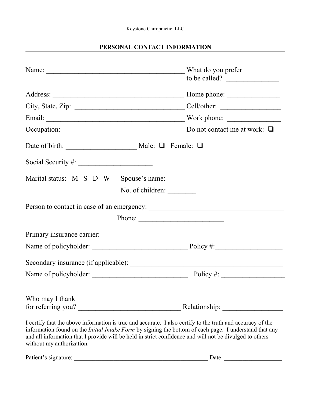### **PERSONAL CONTACT INFORMATION**

| Name:                                                                                                                                                                                                                                                                                                                                  | What do you prefer<br>to be called?       |
|----------------------------------------------------------------------------------------------------------------------------------------------------------------------------------------------------------------------------------------------------------------------------------------------------------------------------------------|-------------------------------------------|
|                                                                                                                                                                                                                                                                                                                                        | Home phone:                               |
|                                                                                                                                                                                                                                                                                                                                        |                                           |
|                                                                                                                                                                                                                                                                                                                                        |                                           |
| Occupation: $\Box$                                                                                                                                                                                                                                                                                                                     |                                           |
|                                                                                                                                                                                                                                                                                                                                        |                                           |
|                                                                                                                                                                                                                                                                                                                                        |                                           |
|                                                                                                                                                                                                                                                                                                                                        |                                           |
|                                                                                                                                                                                                                                                                                                                                        | No. of children:                          |
|                                                                                                                                                                                                                                                                                                                                        |                                           |
|                                                                                                                                                                                                                                                                                                                                        | Phone:                                    |
|                                                                                                                                                                                                                                                                                                                                        |                                           |
|                                                                                                                                                                                                                                                                                                                                        |                                           |
|                                                                                                                                                                                                                                                                                                                                        |                                           |
|                                                                                                                                                                                                                                                                                                                                        | Policy #: $\sqrt{\frac{2}{1-\frac{1}{2}}$ |
| Who may I thank                                                                                                                                                                                                                                                                                                                        |                                           |
| for referring you?                                                                                                                                                                                                                                                                                                                     | Relationship:                             |
| I certify that the above information is true and accurate. I also certify to the truth and accuracy of the<br>information found on the <i>Initial Intake Form</i> by signing the bottom of each page. I understand that any<br>and all information that I provide will be held in strict confidence and will not be divulged to others |                                           |

| Patient's signature: | )ate |
|----------------------|------|
|----------------------|------|

without my authorization.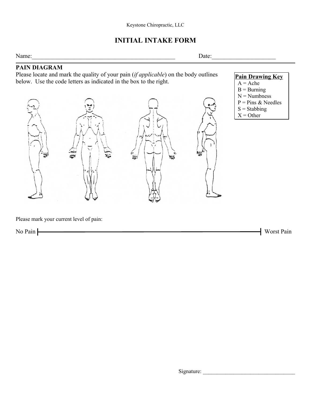# **INITIAL INTAKE FORM**

Name:\_\_\_\_\_\_\_\_\_\_\_\_\_\_\_\_\_\_\_\_\_\_\_\_\_\_\_\_\_\_\_\_\_\_\_\_\_\_\_\_\_\_\_\_\_\_\_ Date:\_\_\_\_\_\_\_\_\_\_\_\_\_\_\_\_\_\_\_\_\_

### **PAIN DIAGRAM**

Please locate and mark the quality of your pain (*if applicable*) on the body outlines below. Use the code letters as indicated in the box to the right.



**Pain Drawing Key**

- $A = Ache$
- $B =$  Burning
- $N =$  Numbness
- $P = Pins \& Needles$
- $S =$ Stabbing
- $X =$  Other

Please mark your current level of pain:

No Pain Worst Pain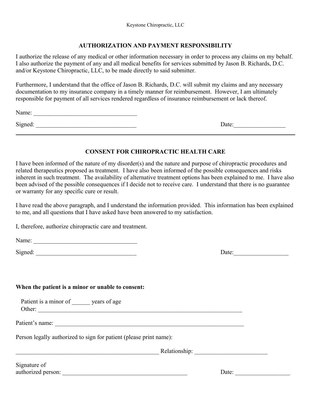#### **AUTHORIZATION AND PAYMENT RESPONSIBILITY**

I authorize the release of any medical or other information necessary in order to process any claims on my behalf. I also authorize the payment of any and all medical benefits for services submitted by Jason B. Richards, D.C. and/or Keystone Chiropractic, LLC, to be made directly to said submitter.

Furthermore, I understand that the office of Jason B. Richards, D.C. will submit my claims and any necessary documentation to my insurance company in a timely manner for reimbursement. However, I am ultimately responsible for payment of all services rendered regardless of insurance reimbursement or lack thereof.

Name: \_\_\_\_\_\_\_\_\_\_\_\_\_\_\_\_\_\_\_\_\_\_\_\_\_\_\_\_\_\_\_\_\_\_

Signed: \_\_\_\_\_\_\_\_\_\_\_\_\_\_\_\_\_\_\_\_\_\_\_\_\_\_\_\_\_\_\_\_\_ Date:\_\_\_\_\_\_\_\_\_\_\_\_\_\_\_\_\_

### **CONSENT FOR CHIROPRACTIC HEALTH CARE**

I have been informed of the nature of my disorder(s) and the nature and purpose of chiropractic procedures and related therapeutics proposed as treatment. I have also been informed of the possible consequences and risks inherent in such treatment. The availability of alternative treatment options has been explained to me. I have also been advised of the possible consequences if I decide not to receive care. I understand that there is no guarantee or warranty for any specific cure or result.

I have read the above paragraph, and I understand the information provided. This information has been explained to me, and all questions that I have asked have been answered to my satisfaction.

I, therefore, authorize chiropractic care and treatment.

Name: \_\_\_\_\_\_\_\_\_\_\_\_\_\_\_\_\_\_\_\_\_\_\_\_\_\_\_\_\_\_\_\_\_\_

Signed: \_\_\_\_\_\_\_\_\_\_\_\_\_\_\_\_\_\_\_\_\_\_\_\_\_\_\_\_\_\_\_\_\_ Date:\_\_\_\_\_\_\_\_\_\_\_\_\_\_\_\_\_\_

#### **When the patient is a minor or unable to consent:**

Patient is a minor of years of age Other: \_\_\_\_\_\_\_\_\_\_\_\_\_\_\_\_\_\_\_\_\_\_\_\_\_\_\_\_\_\_\_\_\_\_\_\_\_\_\_\_\_\_\_\_\_\_\_\_\_\_\_\_\_\_\_\_\_\_\_\_\_\_\_\_\_\_\_

Patient's name:

Person legally authorized to sign for patient (please print name):

 $\text{Relationship:}$ 

Signature of authorized person: \_\_\_\_\_\_\_\_\_\_\_\_\_\_\_\_\_\_\_\_\_\_\_\_\_\_\_\_\_\_\_\_\_\_\_\_\_\_\_\_\_ Date: \_\_\_\_\_\_\_\_\_\_\_\_\_\_\_\_\_\_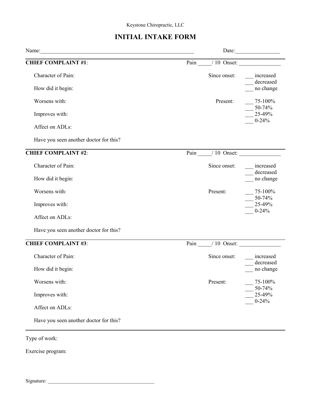# **INITIAL INTAKE FORM**

|                                        |                  | Date: $\frac{1}{2}$                     |
|----------------------------------------|------------------|-----------------------------------------|
| <b>CHIEF COMPLAINT #1:</b>             | Pain 10 Onset:   |                                         |
| Character of Pain:                     | Since onset:     | increased<br>decreased<br>$\frac{1}{1}$ |
| How did it begin:                      |                  | no change                               |
| Worsens with:                          | Present:         | $-75-100\%$                             |
| Improves with:                         |                  | $\frac{1}{25-49\%}$<br>$0 - 24\%$       |
| Affect on ADLs:                        |                  |                                         |
| Have you seen another doctor for this? |                  |                                         |
| <b>CHIEF COMPLAINT #2:</b>             | Pain / 10 Onset: |                                         |
| Character of Pain:                     | Since onset:     | increased                               |
| How did it begin:                      |                  | decreased<br>no change                  |
| Worsens with:                          | Present:         | $-75-100%$                              |
| Improves with:                         |                  | $-$ 50-74%<br>$\frac{1}{25-49\%}$       |
| Affect on ADLs:                        |                  | $0 - 24\%$                              |
| Have you seen another doctor for this? |                  |                                         |
| <b>CHIEF COMPLAINT #3:</b>             | Pain / 10 Onset: |                                         |
| Character of Pain:                     | Since onset:     | increased                               |
| How did it begin:                      |                  | decreased<br>no change                  |
| Worsens with:                          | Present:         | 75-100%                                 |
| Improves with:                         |                  | 50-74%<br>25-49%                        |
| Affect on ADLs:                        |                  | $0 - 24%$                               |
| Have you seen another doctor for this? |                  |                                         |

Exercise program:

Signature: \_\_\_\_\_\_\_\_\_\_\_\_\_\_\_\_\_\_\_\_\_\_\_\_\_\_\_\_\_\_\_\_\_\_\_\_\_\_\_\_\_\_